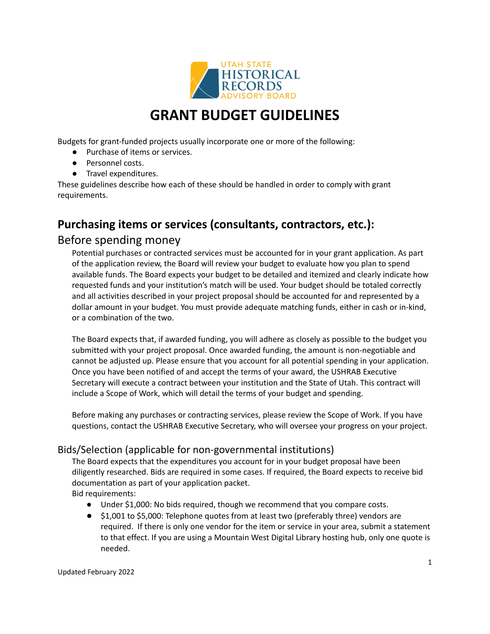

# **GRANT BUDGET GUIDELINES**

Budgets for grant-funded projects usually incorporate one or more of the following:

- Purchase of items or services.
- Personnel costs.
- Travel expenditures.

These guidelines describe how each of these should be handled in order to comply with grant requirements.

## **Purchasing items or services (consultants, contractors, etc.):**

### Before spending money

Potential purchases or contracted services must be accounted for in your grant application. As part of the application review, the Board will review your budget to evaluate how you plan to spend available funds. The Board expects your budget to be detailed and itemized and clearly indicate how requested funds and your institution's match will be used. Your budget should be totaled correctly and all activities described in your project proposal should be accounted for and represented by a dollar amount in your budget. You must provide adequate matching funds, either in cash or in-kind, or a combination of the two.

The Board expects that, if awarded funding, you will adhere as closely as possible to the budget you submitted with your project proposal. Once awarded funding, the amount is non-negotiable and cannot be adjusted up. Please ensure that you account for all potential spending in your application. Once you have been notified of and accept the terms of your award, the USHRAB Executive Secretary will execute a contract between your institution and the State of Utah. This contract will include a Scope of Work, which will detail the terms of your budget and spending.

Before making any purchases or contracting services, please review the Scope of Work. If you have questions, contact the USHRAB Executive Secretary, who will oversee your progress on your project.

### Bids/Selection (applicable for non-governmental institutions)

The Board expects that the expenditures you account for in your budget proposal have been diligently researched. Bids are required in some cases. If required, the Board expects to receive bid documentation as part of your application packet.

Bid requirements:

- Under \$1,000: No bids required, though we recommend that you compare costs.
- \$1,001 to \$5,000: Telephone quotes from at least two (preferably three) vendors are required. If there is only one vendor for the item or service in your area, submit a statement to that effect. If you are using a Mountain West Digital Library hosting hub, only one quote is needed.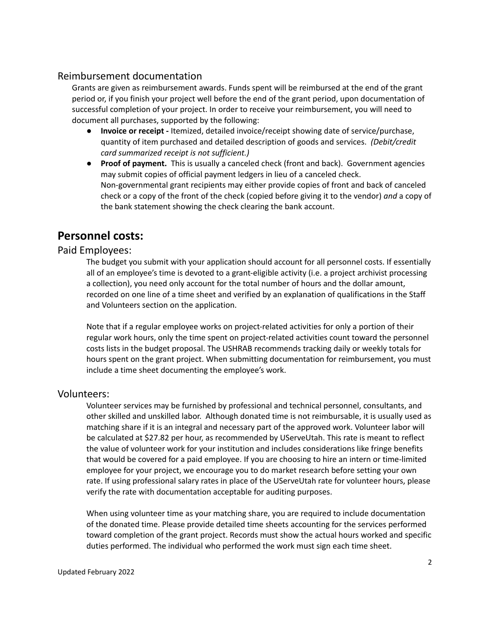#### Reimbursement documentation

Grants are given as reimbursement awards. Funds spent will be reimbursed at the end of the grant period or, if you finish your project well before the end of the grant period, upon documentation of successful completion of your project. In order to receive your reimbursement, you will need to document all purchases, supported by the following:

- **Invoice or receipt -** Itemized, detailed invoice/receipt showing date of service/purchase, quantity of item purchased and detailed description of goods and services. *(Debit/credit card summarized receipt is not sufficient.)*
- **Proof of payment.** This is usually a canceled check (front and back). Government agencies may submit copies of official payment ledgers in lieu of a canceled check. Non-governmental grant recipients may either provide copies of front and back of canceled check or a copy of the front of the check (copied before giving it to the vendor) *and* a copy of the bank statement showing the check clearing the bank account.

### **Personnel costs:**

#### Paid Employees:

The budget you submit with your application should account for all personnel costs. If essentially all of an employee's time is devoted to a grant-eligible activity (i.e. a project archivist processing a collection), you need only account for the total number of hours and the dollar amount, recorded on one line of a time sheet and verified by an explanation of qualifications in the Staff and Volunteers section on the application.

Note that if a regular employee works on project-related activities for only a portion of their regular work hours, only the time spent on project-related activities count toward the personnel costs lists in the budget proposal. The USHRAB recommends tracking daily or weekly totals for hours spent on the grant project. When submitting documentation for reimbursement, you must include a time sheet documenting the employee's work.

#### Volunteers:

Volunteer services may be furnished by professional and technical personnel, consultants, and other skilled and unskilled labor. Although donated time is not reimbursable, it is usually used as matching share if it is an integral and necessary part of the approved work. Volunteer labor will be calculated at \$27.82 per hour, as recommended by UServeUtah. This rate is meant to reflect the value of volunteer work for your institution and includes considerations like fringe benefits that would be covered for a paid employee. If you are choosing to hire an intern or time-limited employee for your project, we encourage you to do market research before setting your own rate. If using professional salary rates in place of the UServeUtah rate for volunteer hours, please verify the rate with documentation acceptable for auditing purposes.

When using volunteer time as your matching share, you are required to include documentation of the donated time. Please provide detailed time sheets accounting for the services performed toward completion of the grant project. Records must show the actual hours worked and specific duties performed. The individual who performed the work must sign each time sheet.